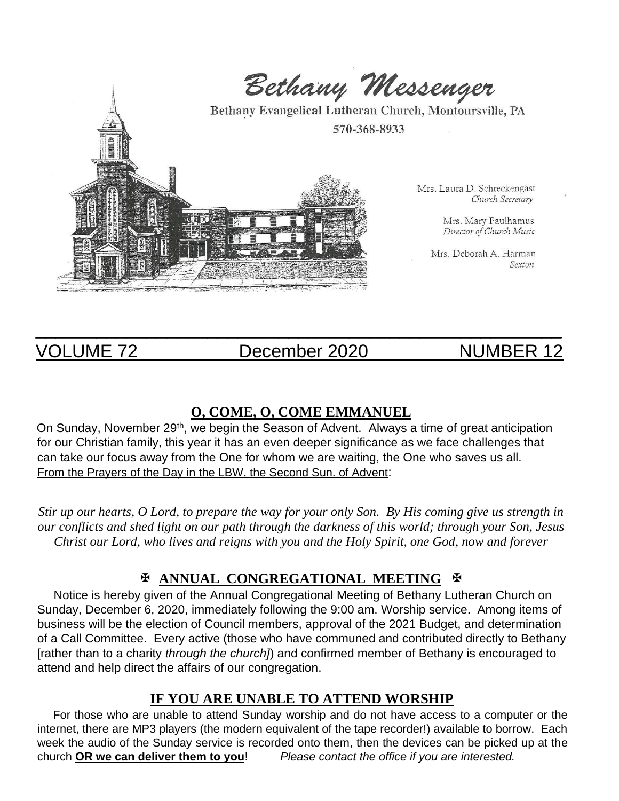

VOLUME 72 December 2020 NUMBER 12

 $\overline{\phantom{a}}$  , and the contribution of the contribution of the contribution of the contribution of the contribution of the contribution of the contribution of the contribution of the contribution of the contribution of the

## **O, COME, O, COME EMMANUEL**

On Sunday, November 29<sup>th</sup>, we begin the Season of Advent. Always a time of great anticipation for our Christian family, this year it has an even deeper significance as we face challenges that can take our focus away from the One for whom we are waiting, the One who saves us all. From the Prayers of the Day in the LBW, the Second Sun. of Advent:

*Stir up our hearts, O Lord, to prepare the way for your only Son. By His coming give us strength in our conflicts and shed light on our path through the darkness of this world; through your Son, Jesus Christ our Lord, who lives and reigns with you and the Holy Spirit, one God, now and forever*

## **ANNUAL CONGREGATIONAL MEETING**

 Notice is hereby given of the Annual Congregational Meeting of Bethany Lutheran Church on Sunday, December 6, 2020, immediately following the 9:00 am. Worship service. Among items of business will be the election of Council members, approval of the 2021 Budget, and determination of a Call Committee. Every active (those who have communed and contributed directly to Bethany [rather than to a charity *through the church]*) and confirmed member of Bethany is encouraged to attend and help direct the affairs of our congregation.

## **IF YOU ARE UNABLE TO ATTEND WORSHIP**

 For those who are unable to attend Sunday worship and do not have access to a computer or the internet, there are MP3 players (the modern equivalent of the tape recorder!) available to borrow. Each week the audio of the Sunday service is recorded onto them, then the devices can be picked up at the church **OR we can deliver them to you**! *Please contact the office if you are interested.*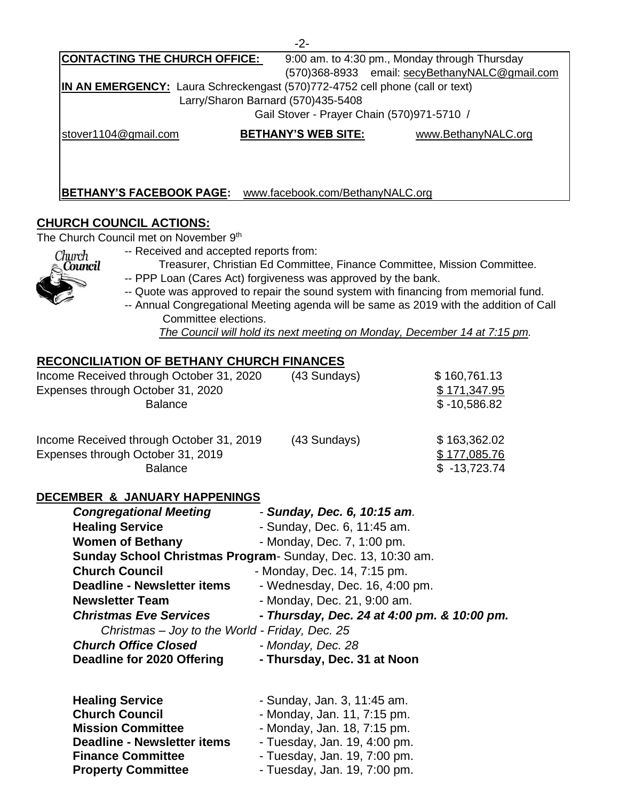| <b>CONTACTING THE CHURCH OFFICE:</b>                                         |                            | 9:00 am. to 4:30 pm., Monday through Thursday  |  |  |
|------------------------------------------------------------------------------|----------------------------|------------------------------------------------|--|--|
|                                                                              |                            | (570)368-8933 email: secyBethanyNALC@gmail.com |  |  |
| IN AN EMERGENCY: Laura Schreckengast (570)772-4752 cell phone (call or text) |                            |                                                |  |  |
| Larry/Sharon Barnard (570)435-5408                                           |                            |                                                |  |  |
| Gail Stover - Prayer Chain (570)971-5710 /                                   |                            |                                                |  |  |
| stover1104@gmail.com                                                         | <b>BETHANY'S WEB SITE:</b> | www.BethanyNALC.org                            |  |  |
|                                                                              |                            |                                                |  |  |
|                                                                              |                            |                                                |  |  |
|                                                                              |                            |                                                |  |  |

 $\Omega$ 

**BETHANY'S FACEBOOK PAGE:** www.facebook.com/BethanyNALC.org

## **CHURCH COUNCIL ACTIONS:**

The Church Council met on November 9<sup>th</sup>

- Church Council
- -- Received and accepted reports from:
- -- PPP Loan (Cares Act) forgiveness was approved by the bank.
- -- Quote was approved to repair the sound system with financing from memorial fund.
- -- Annual Congregational Meeting agenda will be same as 2019 with the addition of Call Committee elections.

 *The Council will hold its next meeting on Monday, December 14 at 7:15 pm.* 

Treasurer, Christian Ed Committee, Finance Committee, Mission Committee.

## **RECONCILIATION OF BETHANY CHURCH FINANCES**

| Income Received through October 31, 2020<br>Expenses through October 31, 2020<br><b>Balance</b> | (43 Sundays) | \$160,761.13<br>\$171,347.95<br>$$ -10,586.82$ |
|-------------------------------------------------------------------------------------------------|--------------|------------------------------------------------|
| Income Received through October 31, 2019<br>Expenses through October 31, 2019<br><b>Balance</b> | (43 Sundays) | \$163,362.02<br>\$177,085.76<br>$$ -13,723.74$ |

#### **DECEMBER & JANUARY HAPPENINGS**

| <b>Congregational Meeting</b>                  | - Sunday, Dec. 6, 10:15 am.                                |
|------------------------------------------------|------------------------------------------------------------|
| <b>Healing Service</b>                         | - Sunday, Dec. 6, 11:45 am.                                |
| <b>Women of Bethany</b>                        | - Monday, Dec. 7, 1:00 pm.                                 |
|                                                | Sunday School Christmas Program-Sunday, Dec. 13, 10:30 am. |
| <b>Church Council</b>                          | - Monday, Dec. 14, 7:15 pm.                                |
| <b>Deadline - Newsletter items</b>             | - Wednesday, Dec. 16, 4:00 pm.                             |
| <b>Newsletter Team</b>                         | - Monday, Dec. 21, 9:00 am.                                |
| <b>Christmas Eve Services</b>                  | - Thursday, Dec. 24 at 4:00 pm. & 10:00 pm.                |
| Christmas - Joy to the World - Friday, Dec. 25 |                                                            |
| <b>Church Office Closed</b>                    | - Monday, Dec. 28                                          |
| <b>Deadline for 2020 Offering</b>              | - Thursday, Dec. 31 at Noon                                |

| <b>Healing Service</b>             | - Sunday, Jan. 3, 11:45 am.  |
|------------------------------------|------------------------------|
| <b>Church Council</b>              | - Monday, Jan. 11, 7:15 pm.  |
| <b>Mission Committee</b>           | - Monday, Jan. 18, 7:15 pm.  |
| <b>Deadline - Newsletter items</b> | - Tuesday, Jan. 19, 4:00 pm. |
| <b>Finance Committee</b>           | - Tuesday, Jan. 19, 7:00 pm. |
| <b>Property Committee</b>          | - Tuesday, Jan. 19, 7:00 pm. |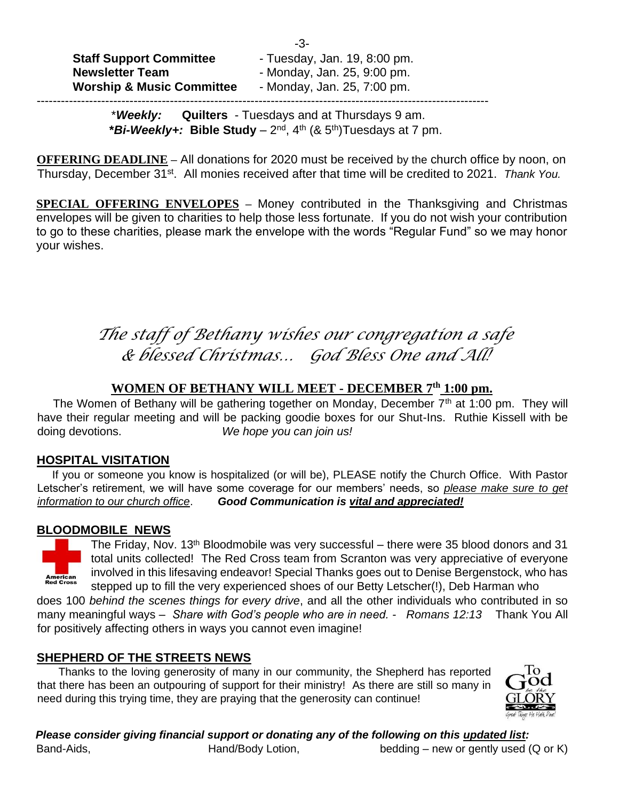| <b>Staff Support Committee</b><br><b>Newsletter Team</b> | -3-<br>- Tuesday, Jan. 19, 8:00 pm.<br>- Monday, Jan. 25, 9:00 pm. |
|----------------------------------------------------------|--------------------------------------------------------------------|
| <b>Worship &amp; Music Committee</b>                     | - Monday, Jan. 25, 7:00 pm.                                        |
|                                                          |                                                                    |

 \**Weekly:* **Quilters** - Tuesdays and at Thursdays 9 am. **\****Bi-Weekly+:* **Bible Study** – 2 nd, 4th (& 5th)Tuesdays at 7 pm.

**OFFERING DEADLINE –** All donations for 2020 must be received by the church office by noon, on Thursday, December 31st. All monies received after that time will be credited to 2021. *Thank You.*

**SPECIAL OFFERING ENVELOPES –** Money contributed in the Thanksgiving and Christmas envelopes will be given to charities to help those less fortunate. If you do not wish your contribution to go to these charities, please mark the envelope with the words "Regular Fund" so we may honor your wishes.

# *The staff of Bethany wishes our congregation a safe & blessed Christmas… God Bless One and All!*

## **WOMEN OF BETHANY WILL MEET - DECEMBER 7th 1:00 pm.**

The Women of Bethany will be gathering together on Monday, December  $7<sup>th</sup>$  at 1:00 pm. They will have their regular meeting and will be packing goodie boxes for our Shut-Ins. Ruthie Kissell with be doing devotions. *We hope you can join us!*

## **HOSPITAL VISITATION**

 If you or someone you know is hospitalized (or will be), PLEASE notify the Church Office. With Pastor Letscher's retirement, we will have some coverage for our members' needs, so *please make sure to get information to our church office*. *Good Communication is vital and appreciated!*

## **BLOODMOBILE NEWS**



The Friday, Nov. 13<sup>th</sup> Bloodmobile was very successful – there were 35 blood donors and 31 total units collected! The Red Cross team from Scranton was very appreciative of everyone involved in this lifesaving endeavor! Special Thanks goes out to Denise Bergenstock, who has stepped up to fill the very experienced shoes of our Betty Letscher(!), Deb Harman who

does 100 *behind the scenes things for every drive*, and all the other individuals who contributed in so many meaningful ways – *Share with God's people who are in need. - Romans 12:13* Thank You All for positively affecting others in ways you cannot even imagine!

## **SHEPHERD OF THE STREETS NEWS**

 Thanks to the loving generosity of many in our community, the Shepherd has reported that there has been an outpouring of support for their ministry! As there are still so many in need during this trying time, they are praying that the generosity can continue!



*Please consider giving financial support or donating any of the following on this updated list:*  Band-Aids, **Hand/Body Lotion,** bedding – new or gently used (Q or K)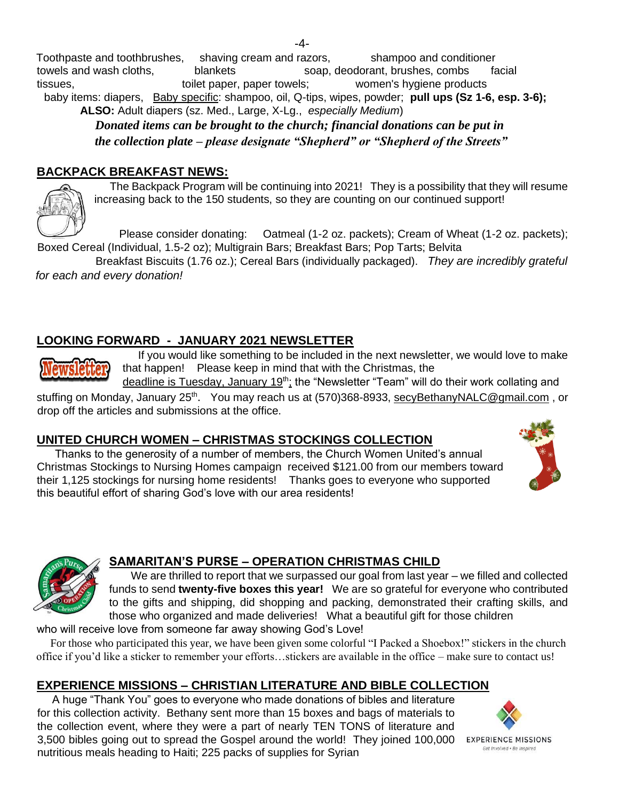Toothpaste and toothbrushes, shaving cream and razors, shampoo and conditioner towels and wash cloths, blankets soap, deodorant, brushes, combs facial tissues, toilet paper, paper towels; women's hygiene products baby items: diapers, Baby specific: shampoo, oil, Q-tips, wipes, powder; **pull ups (Sz 1-6, esp. 3-6); ALSO:** Adult diapers (sz. Med., Large, X-Lg., *especially Medium*)

 *Donated items can be brought to the church; financial donations can be put in the collection plate – please designate "Shepherd" or "Shepherd of the Streets"* 

## **BACKPACK BREAKFAST NEWS:**

 The Backpack Program will be continuing into 2021! They is a possibility that they will resume increasing back to the 150 students, so they are counting on our continued support!

 Please consider donating: Oatmeal (1-2 oz. packets); Cream of Wheat (1-2 oz. packets); Boxed Cereal (Individual, 1.5-2 oz); Multigrain Bars; Breakfast Bars; Pop Tarts; Belvita

Breakfast Biscuits (1.76 oz.); Cereal Bars (individually packaged). *They are incredibly grateful for each and every donation!* 

## **LOOKING FORWARD - JANUARY 2021 NEWSLETTER**

 If you would like something to be included in the next newsletter, we would love to make that happen! Please keep in mind that with the Christmas, the

deadline is Tuesday, January 19<sup>th</sup>; the "Newsletter "Team" will do their work collating and

stuffing on Monday, January 25<sup>th</sup>. You may reach us at (570)368-8933, secyBethanyNALC@gmail.com, or drop off the articles and submissions at the office.

## **UNITED CHURCH WOMEN – CHRISTMAS STOCKINGS COLLECTION**

 Thanks to the generosity of a number of members, the Church Women United's annual Christmas Stockings to Nursing Homes campaign received \$121.00 from our members toward their 1,125 stockings for nursing home residents! Thanks goes to everyone who supported this beautiful effort of sharing God's love with our area residents!





## **SAMARITAN'S PURSE – OPERATION CHRISTMAS CHILD**

We are thrilled to report that we surpassed our goal from last year – we filled and collected funds to send **twenty-five boxes this year!** We are so grateful for everyone who contributed to the gifts and shipping, did shopping and packing, demonstrated their crafting skills, and those who organized and made deliveries! What a beautiful gift for those children

who will receive love from someone far away showing God's Love!

 For those who participated this year, we have been given some colorful "I Packed a Shoebox!" stickers in the church office if you'd like a sticker to remember your efforts…stickers are available in the office – make sure to contact us!

## **EXPERIENCE MISSIONS – CHRISTIAN LITERATURE AND BIBLE COLLECTION**

 A huge "Thank You" goes to everyone who made donations of bibles and literature for this collection activity. Bethany sent more than 15 boxes and bags of materials to the collection event, where they were a part of nearly TEN TONS of literature and 3,500 bibles going out to spread the Gospel around the world! They joined 100,000 EXPERIENCE MISSIONS nutritious meals heading to Haiti; 225 packs of supplies for Syrian



Get Involved . Be Inspired

-4-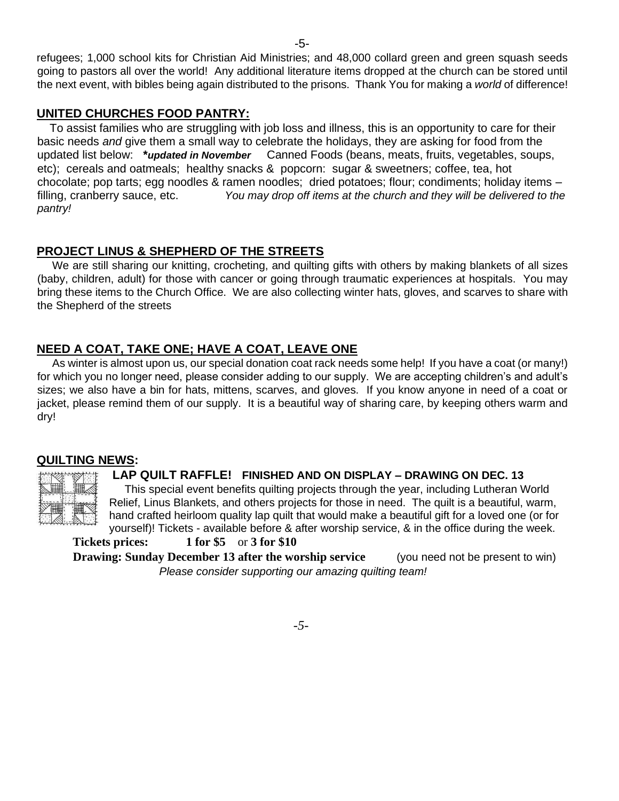refugees; 1,000 school kits for Christian Aid Ministries; and 48,000 collard green and green squash seeds going to pastors all over the world! Any additional literature items dropped at the church can be stored until the next event, with bibles being again distributed to the prisons. Thank You for making a *world* of difference!

## **UNITED CHURCHES FOOD PANTRY:**

 To assist families who are struggling with job loss and illness, this is an opportunity to care for their basic needs *and* give them a small way to celebrate the holidays, they are asking for food from the updated list below: **\****updated in November* Canned Foods (beans, meats, fruits, vegetables, soups, etc); cereals and oatmeals; healthy snacks & popcorn: sugar & sweetners; coffee, tea, hot chocolate; pop tarts; egg noodles & ramen noodles; dried potatoes; flour; condiments; holiday items – filling, cranberry sauce, etc. *You may drop off items at the church and they will be delivered to the pantry!*

## **PROJECT LINUS & SHEPHERD OF THE STREETS**

 We are still sharing our knitting, crocheting, and quilting gifts with others by making blankets of all sizes (baby, children, adult) for those with cancer or going through traumatic experiences at hospitals. You may bring these items to the Church Office. We are also collecting winter hats, gloves, and scarves to share with the Shepherd of the streets

## **NEED A COAT, TAKE ONE; HAVE A COAT, LEAVE ONE**

 As winter is almost upon us, our special donation coat rack needs some help! If you have a coat (or many!) for which you no longer need, please consider adding to our supply. We are accepting children's and adult's sizes; we also have a bin for hats, mittens, scarves, and gloves. If you know anyone in need of a coat or jacket, please remind them of our supply. It is a beautiful way of sharing care, by keeping others warm and dry!

## **QUILTING NEWS:**



## **LAP QUILT RAFFLE! FINISHED AND ON DISPLAY – DRAWING ON DEC. 13**

 This special event benefits quilting projects through the year, including Lutheran World Relief, Linus Blankets, and others projects for those in need. The quilt is a beautiful, warm, hand crafted heirloom quality lap quilt that would make a beautiful gift for a loved one (or for yourself)! Tickets - available before & after worship service, & in the office during the week.

 **Tickets prices: 1 for \$5** or **3 for \$10 Drawing: Sunday December 13 after the worship service (you need not be present to win)**  *Please consider supporting our amazing quilting team!*

*-5-*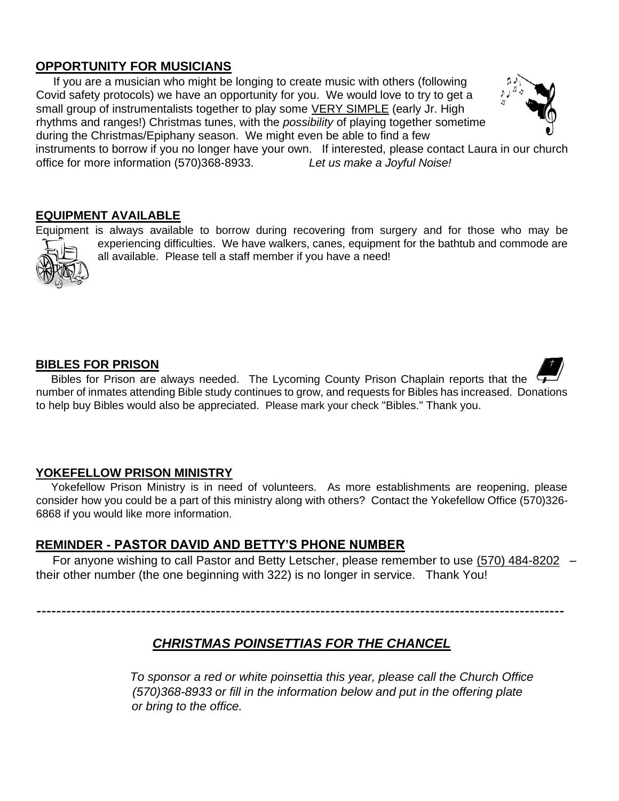## **OPPORTUNITY FOR MUSICIANS**

 If you are a musician who might be longing to create music with others (following Covid safety protocols) we have an opportunity for you. We would love to try to get a small group of instrumentalists together to play some VERY SIMPLE (early Jr. High rhythms and ranges!) Christmas tunes, with the *possibility* of playing together sometime during the Christmas/Epiphany season. We might even be able to find a few



instruments to borrow if you no longer have your own. If interested, please contact Laura in our church office for more information (570)368-8933. *Let us make a Joyful Noise!*

### **EQUIPMENT AVAILABLE**

Equipment is always available to borrow during recovering from surgery and for those who may be experiencing difficulties. We have walkers, canes, equipment for the bathtub and commode are all available. Please tell a staff member if you have a need!

#### **BIBLES FOR PRISON**

Bibles for Prison are always needed. The Lycoming County Prison Chaplain reports that the number of inmates attending Bible study continues to grow, and requests for Bibles has increased. Donations to help buy Bibles would also be appreciated. Please mark your check "Bibles." Thank you.

### **YOKEFELLOW PRISON MINISTRY**

 Yokefellow Prison Ministry is in need of volunteers. As more establishments are reopening, please consider how you could be a part of this ministry along with others? Contact the Yokefellow Office (570)326- 6868 if you would like more information.

### **REMINDER - PASTOR DAVID AND BETTY'S PHONE NUMBER**

 For anyone wishing to call Pastor and Betty Letscher, please remember to use (570) 484-8202 – their other number (the one beginning with 322) is no longer in service. Thank You!

# *CHRISTMAS POINSETTIAS FOR THE CHANCEL*

----------------------------------------------------------------------------------------------------------

 *To sponsor a red or white poinsettia this year, please call the Church Office (570)368-8933 or fill in the information below and put in the offering plate or bring to the office.*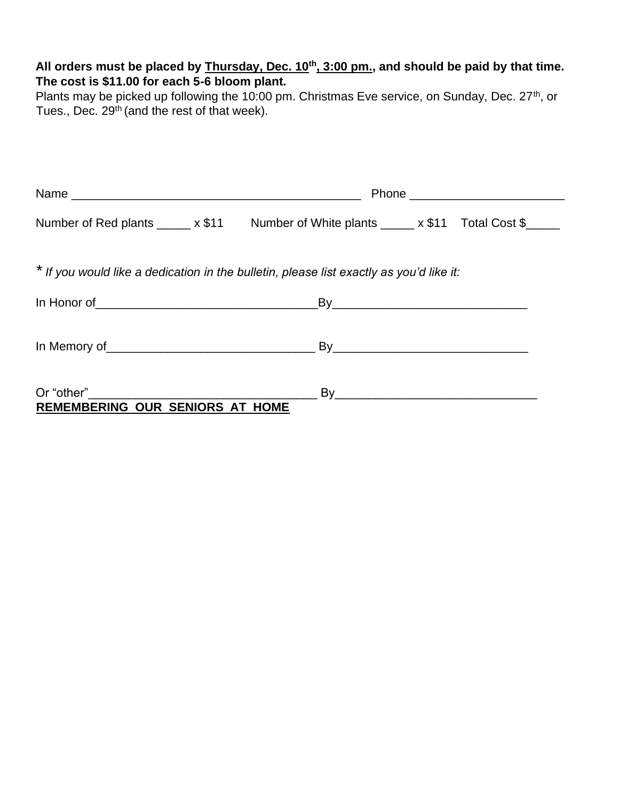## **All orders must be placed by Thursday, Dec. 10th, 3:00 pm., and should be paid by that time. The cost is \$11.00 for each 5-6 bloom plant.**

Plants may be picked up following the 10:00 pm. Christmas Eve service, on Sunday, Dec. 27<sup>th</sup>, or Tues., Dec. 29<sup>th</sup> (and the rest of that week).

|                                                                                         | Phone ____________________________                                                        |
|-----------------------------------------------------------------------------------------|-------------------------------------------------------------------------------------------|
|                                                                                         | Number of Red plants ______ x \$11 Number of White plants _____ x \$11 Total Cost \$_____ |
| * If you would like a dedication in the bulletin, please list exactly as you'd like it: |                                                                                           |
|                                                                                         |                                                                                           |
|                                                                                         |                                                                                           |
| REMEMBERING OUR SENIORS AT HOME                                                         |                                                                                           |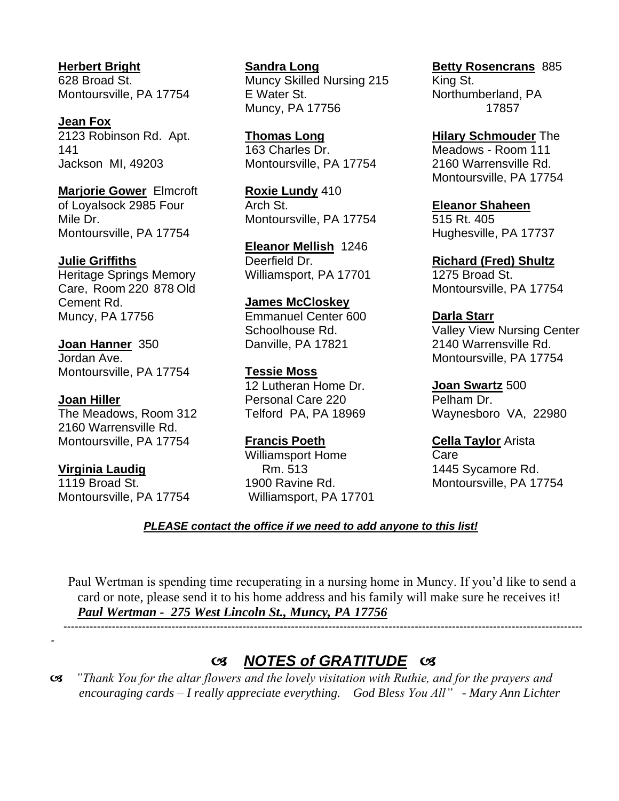**Herbert Bright** 628 Broad St. Montoursville, PA 17754

**Jean Fox**  2123 Robinson Rd. Apt. 141 Jackson MI, 49203

**Marjorie Gower** Elmcroft of Loyalsock 2985 Four Mile Dr. Montoursville, PA 17754

#### **Julie Griffiths**

Heritage Springs Memory Care, Room 220 878 Old Cement Rd. Muncy, PA 17756

**Joan Hanner** 350 Jordan Ave. Montoursville, PA 17754

#### **Joan Hiller**

The Meadows, Room 312 2160 Warrensville Rd. Montoursville, PA 17754

## **Virginia Laudig**

-

1119 Broad St. Montoursville, PA 17754

**Sandra Long**  Muncy Skilled Nursing 215 E Water St. Muncy, PA 17756

**Thomas Long** 163 Charles Dr. Montoursville, PA 17754

**Roxie Lundy** 410 Arch St. Montoursville, PA 17754

**Eleanor Mellish** 1246 Deerfield Dr. Williamsport, PA 17701

**James McCloskey** Emmanuel Center 600 Schoolhouse Rd. Danville, PA 17821

**Tessie Moss** 12 Lutheran Home Dr. Personal Care 220 Telford PA, PA 18969

**Francis Poeth**  Williamsport Home Rm. 513 1900 Ravine Rd. Williamsport, PA 17701 **Betty Rosencrans** 885 King St. Northumberland, PA 17857

**Hilary Schmouder** The Meadows - Room 111 2160 Warrensville Rd. Montoursville, PA 17754

**Eleanor Shaheen** 515 Rt. 405 Hughesville, PA 17737

**Richard (Fred) Shultz** 1275 Broad St. Montoursville, PA 17754

**Darla Starr**  Valley View Nursing Center 2140 Warrensville Rd. Montoursville, PA 17754

**Joan Swartz** 500 Pelham Dr. Waynesboro VA, 22980

**Cella Taylor** Arista **Care** 1445 Sycamore Rd. Montoursville, PA 17754

### *PLEASE contact the office if we need to add anyone to this list!*

Paul Wertman is spending time recuperating in a nursing home in Muncy. If you'd like to send a card or note, please send it to his home address and his family will make sure he receives it! *Paul Wertman - 275 West Lincoln St., Muncy, PA 17756*

-------------------------------------------------------------------------------------------------------------------------------------------

## *NOTES of GRATITUDE*

 *"Thank You for the altar flowers and the lovely visitation with Ruthie, and for the prayers and encouraging cards – I really appreciate everything. God Bless You All" - Mary Ann Lichter*